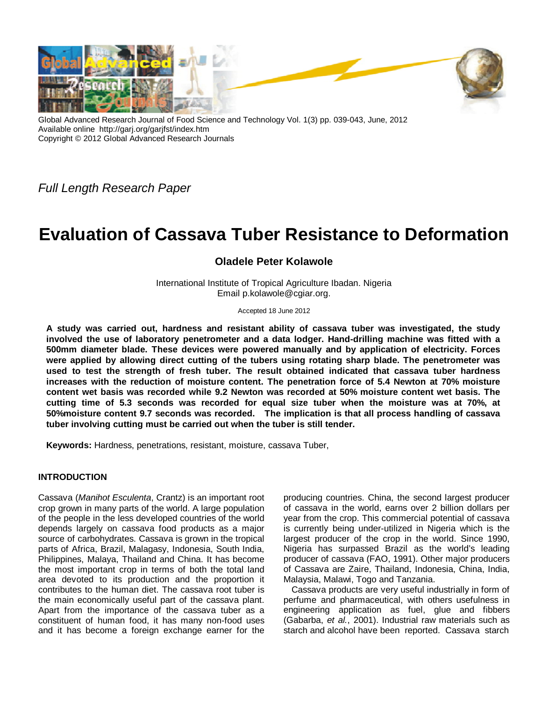

Global Advanced Research Journal of Food Science and Technology Vol. 1(3) pp. 039-043, June, 2012 Available online http://garj.org/garjfst/index.htm Copyright © 2012 Global Advanced Research Journals

*Full Length Research Paper*

# **Evaluation of Cassava Tuber Resistance to Deformation**

# **Oladele Peter Kolawole**

International Institute of Tropical Agriculture Ibadan. Nigeria Email p.kolawole@cgiar.org.

Accepted 18 June 2012

**A study was carried out, hardness and resistant ability of cassava tuber was investigated, the study involved the use of laboratory penetrometer and a data lodger. Hand-drilling machine was fitted with a 500mm diameter blade. These devices were powered manually and by application of electricity. Forces were applied by allowing direct cutting of the tubers using rotating sharp blade. The penetrometer was used to test the strength of fresh tuber. The result obtained indicated that cassava tuber hardness increases with the reduction of moisture content. The penetration force of 5.4 Newton at 70% moisture content wet basis was recorded while 9.2 Newton was recorded at 50% moisture content wet basis. The cutting time of 5.3 seconds was recorded for equal size tuber when the moisture was at 70%, at 50%moisture content 9.7 seconds was recorded. The implication is that all process handling of cassava tuber involving cutting must be carried out when the tuber is still tender.**

**Keywords:** Hardness, penetrations, resistant, moisture, cassava Tuber,

## **INTRODUCTION**

Cassava (*Manihot Esculenta*, Crantz) is an important root crop grown in many parts of the world. A large population of the people in the less developed countries of the world depends largely on cassava food products as a major source of carbohydrates. Cassava is grown in the tropical parts of Africa, Brazil, Malagasy, Indonesia, South India, Philippines, Malaya, Thailand and China. It has become the most important crop in terms of both the total land area devoted to its production and the proportion it contributes to the human diet. The cassava root tuber is the main economically useful part of the cassava plant. Apart from the importance of the cassava tuber as a constituent of human food, it has many non-food uses and it has become a foreign exchange earner for the

producing countries. China, the second largest producer of cassava in the world, earns over 2 billion dollars per year from the crop. This commercial potential of cassava is currently being under-utilized in Nigeria which is the largest producer of the crop in the world. Since 1990, Nigeria has surpassed Brazil as the world's leading producer of cassava (FAO, 1991). Other major producers of Cassava are Zaire, Thailand, Indonesia, China, India, Malaysia, Malawi, Togo and Tanzania.

Cassava products are very useful industrially in form of perfume and pharmaceutical, with others usefulness in engineering application as fuel, glue and fibbers (Gabarba, *et al.*, 2001). Industrial raw materials such as starch and alcohol have been reported. Cassava starch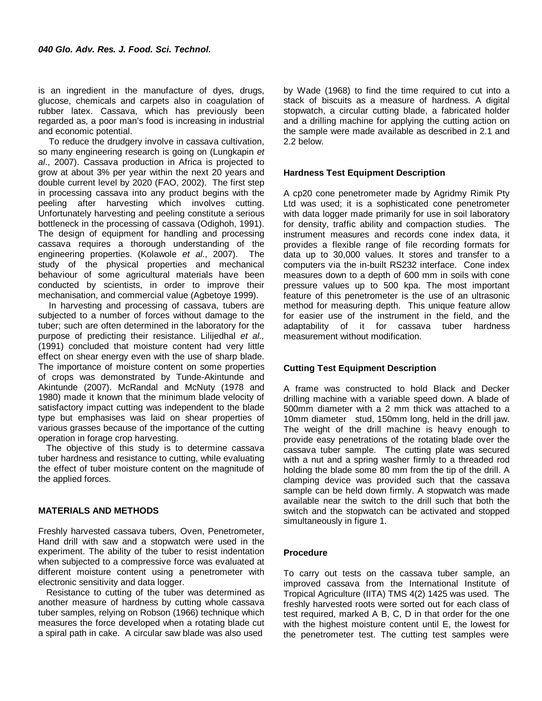is an ingredient in the manufacture of dyes, drugs, glucose, chemicals and carpets also in coagulation of rubber latex. Cassava, which has previously been regarded as, a poor man's food is increasing in industrial and economic potential.

To reduce the drudgery involve in cassava cultivation, so many engineering research is going on (Lungkapin *et al*., 2007). Cassava production in Africa is projected to grow at about 3% per year within the next 20 years and double current level by 2020 (FAO, 2002). The first step in processing cassava into any product begins with the peeling after harvesting which involves cutting. Unfortunately harvesting and peeling constitute a serious bottleneck in the processing of cassava (Odighoh, 1991). The design of equipment for handling and processing cassava requires a thorough understanding of the engineering properties. (Kolawole *et al*., 2007). The study of the physical properties and mechanical behaviour of some agricultural materials have been conducted by scientists, in order to improve their mechanisation, and commercial value (Agbetoye 1999).

In harvesting and processing of cassava, tubers are subjected to a number of forces without damage to the tuber; such are often determined in the laboratory for the purpose of predicting their resistance. Lilijedhal *et al.,* (1991) concluded that moisture content had very little effect on shear energy even with the use of sharp blade. The importance of moisture content on some properties of crops was demonstrated by Tunde-Akintunde and Akintunde (2007). McRandal and McNuty (1978 and 1980) made it known that the minimum blade velocity of satisfactory impact cutting was independent to the blade type but emphasises was laid on shear properties of various grasses because of the importance of the cutting operation in forage crop harvesting.

The objective of this study is to determine cassava tuber hardness and resistance to cutting, while evaluating the effect of tuber moisture content on the magnitude of the applied forces.

#### **MATERIALS AND METHODS**

Freshly harvested cassava tubers, Oven, Penetrometer, Hand drill with saw and a stopwatch were used in the experiment. The ability of the tuber to resist indentation when subjected to a compressive force was evaluated at different moisture content using a penetrometer with electronic sensitivity and data logger.

Resistance to cutting of the tuber was determined as another measure of hardness by cutting whole cassava tuber samples, relying on Robson (1966) technique which measures the force developed when a rotating blade cut a spiral path in cake. A circular saw blade was also used

by Wade (1968) to find the time required to cut into a stack of biscuits as a measure of hardness. A digital stopwatch, a circular cutting blade, a fabricated holder and a drilling machine for applying the cutting action on the sample were made available as described in 2.1 and 2.2 below.

#### **Hardness Test Equipment Description**

A cp20 cone penetrometer made by Agridmy Rimik Pty Ltd was used; it is a sophisticated cone penetrometer with data logger made primarily for use in soil laboratory for density, traffic ability and compaction studies. The instrument measures and records cone index data, it provides a flexible range of file recording formats for data up to 30,000 values. It stores and transfer to a computers via the in-built RS232 interface. Cone index measures down to a depth of 600 mm in soils with cone pressure values up to 500 kpa. The most important feature of this penetrometer is the use of an ultrasonic method for measuring depth. This unique feature allow for easier use of the instrument in the field, and the adaptability of it for cassava tuber hardness measurement without modification.

#### **Cutting Test Equipment Description**

A frame was constructed to hold Black and Decker drilling machine with a variable speed down. A blade of 500mm diameter with a 2 mm thick was attached to a 10mm diameter stud, 150mm long, held in the drill jaw. The weight of the drill machine is heavy enough to provide easy penetrations of the rotating blade over the cassava tuber sample. The cutting plate was secured with a nut and a spring washer firmly to a threaded rod holding the blade some 80 mm from the tip of the drill. A clamping device was provided such that the cassava sample can be held down firmly. A stopwatch was made available near the switch to the drill such that both the switch and the stopwatch can be activated and stopped simultaneously in figure 1.

#### **Procedure**

To carry out tests on the cassava tuber sample, an improved cassava from the International Institute of Tropical Agriculture (IITA) TMS 4(2) 1425 was used. The freshly harvested roots were sorted out for each class of test required, marked A B, C, D in that order for the one with the highest moisture content until E, the lowest for the penetrometer test. The cutting test samples were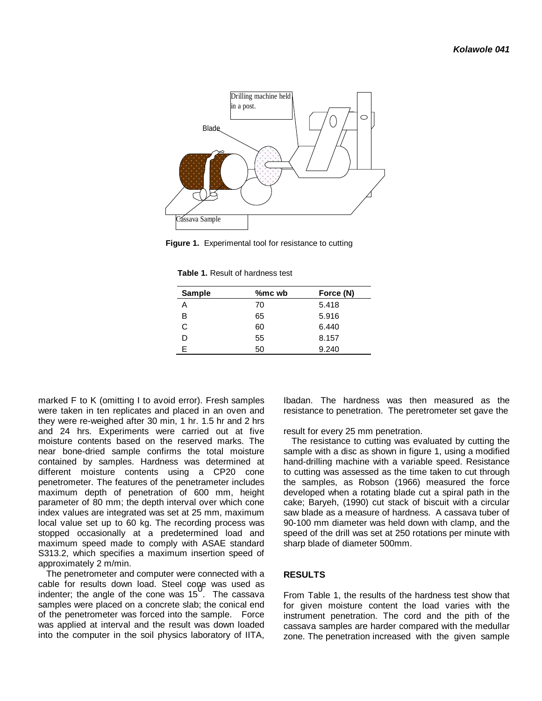

**Figure 1.** Experimental tool for resistance to cutting

**Table 1.** Result of hardness test

| 5.418<br>70<br>Α<br>в<br>5.916<br>65<br>C<br>60<br>6.440<br>8.157<br>55<br>D | Sample | %mc wb | Force (N) |
|------------------------------------------------------------------------------|--------|--------|-----------|
|                                                                              |        |        |           |
|                                                                              |        |        |           |
|                                                                              |        |        |           |
|                                                                              |        |        |           |
|                                                                              | F      | 50     | 9.240     |

marked F to K (omitting I to avoid error). Fresh samples were taken in ten replicates and placed in an oven and they were re-weighed after 30 min, 1 hr. 1.5 hr and 2 hrs and 24 hrs. Experiments were carried out at five moisture contents based on the reserved marks. The near bone-dried sample confirms the total moisture contained by samples. Hardness was determined at different moisture contents using a CP20 cone penetrometer. The features of the penetrameter includes maximum depth of penetration of 600 mm, height parameter of 80 mm; the depth interval over which cone index values are integrated was set at 25 mm, maximum local value set up to 60 kg. The recording process was stopped occasionally at a predetermined load and maximum speed made to comply with ASAE standard S313.2, which specifies a maximum insertion speed of approximately 2 m/min.

The penetrometer and computer were connected with a cable for results down load. Steel cone was used as<br>indenter; the angle of the cone was 15 . The cassava samples were placed on a concrete slab; the conical end of the penetrometer was forced into the sample. Force was applied at interval and the result was down loaded into the computer in the soil physics laboratory of IITA,

Ibadan. The hardness was then measured as the resistance to penetration. The peretrometer set gave the

result for every 25 mm penetration.

The resistance to cutting was evaluated by cutting the sample with a disc as shown in figure 1, using a modified hand-drilling machine with a variable speed. Resistance to cutting was assessed as the time taken to cut through the samples, as Robson (1966) measured the force developed when a rotating blade cut a spiral path in the cake; Baryeh, (1990) cut stack of biscuit with a circular saw blade as a measure of hardness. A cassava tuber of 90-100 mm diameter was held down with clamp, and the speed of the drill was set at 250 rotations per minute with sharp blade of diameter 500mm.

## **RESULTS**

From Table 1, the results of the hardness test show that for given moisture content the load varies with the instrument penetration. The cord and the pith of the cassava samples are harder compared with the medullar zone. The penetration increased with the given sample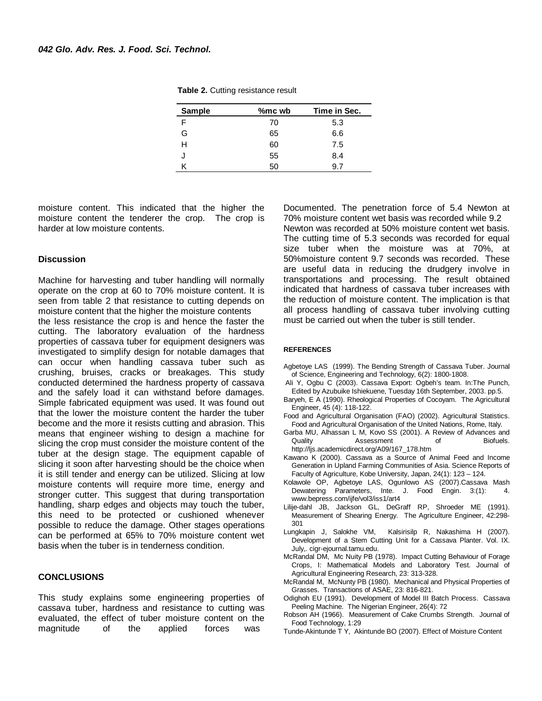| <b>Sample</b> | %mc wb | Time in Sec. |
|---------------|--------|--------------|
| F             | 70     | 5.3          |
| G             | 65     | 6.6          |
| н             | 60     | 7.5          |
|               | 55     | 8.4          |
|               | 50     | 91           |

**Table 2.** Cutting resistance result

moisture content. This indicated that the higher the moisture content the tenderer the crop. The crop is harder at low moisture contents.

#### **Discussion**

Machine for harvesting and tuber handling will normally operate on the crop at 60 to 70% moisture content. It is seen from table 2 that resistance to cutting depends on moisture content that the higher the moisture contents the less resistance the crop is and hence the faster the cutting. The laboratory evaluation of the hardness properties of cassava tuber for equipment designers was investigated to simplify design for notable damages that can occur when handling cassava tuber such as crushing, bruises, cracks or breakages. This study conducted determined the hardness property of cassava and the safely load it can withstand before damages. Simple fabricated equipment was used. It was found out that the lower the moisture content the harder the tuber become and the more it resists cutting and abrasion. This means that engineer wishing to design a machine for slicing the crop must consider the moisture content of the tuber at the design stage. The equipment capable of slicing it soon after harvesting should be the choice when it is still tender and energy can be utilized. Slicing at low moisture contents will require more time, energy and stronger cutter. This suggest that during transportation handling, sharp edges and objects may touch the tuber, this need to be protected or cushioned whenever possible to reduce the damage. Other stages operations can be performed at 65% to 70% moisture content wet basis when the tuber is in tenderness condition.

#### **CONCLUSIONS**

This study explains some engineering properties of cassava tuber, hardness and resistance to cutting was evaluated, the effect of tuber moisture content on the magnitude of the applied forces was

Documented. The penetration force of 5.4 Newton at 70% moisture content wet basis was recorded while 9.2 Newton was recorded at 50% moisture content wet basis. The cutting time of 5.3 seconds was recorded for equal size tuber when the moisture was at 70%, at 50%moisture content 9.7 seconds was recorded. These are useful data in reducing the drudgery involve in transportations and processing. The result obtained indicated that hardness of cassava tuber increases with the reduction of moisture content. The implication is that all process handling of cassava tuber involving cutting must be carried out when the tuber is still tender.

#### **REFERENCES**

- Agbetoye LAS (1999). The Bending Strength of Cassava Tuber. Journal of Science, Engineering and Technology, 6(2): 1800-1808.
- Ali Y, Ogbu C (2003). Cassava Export: Ogbeh's team. In:The Punch, Edited by Azubuike Ishiekuene, Tuesday 16th September, 2003. pp.5.
- Baryeh, E A (1990). Rheological Properties of Cocoyam. The Agricultural Engineer, 45 (4): 118-122.
- Food and Agricultural Organisation (FAO) (2002). Agricultural Statistics. Food and Agricultural Organisation of the United Nations, Rome, Italy.
- Garba MU, Alhassan L M, Kovo SS (2001). A Review of Advances and Quality **Assessment** of Biofuels. http://ljs.academicdirect.org/A09/167\_178.htm
- Kawano K (2000). Cassava as a Source of Animal Feed and Income Generation in Upland Farming Communities of Asia. Science Reports of Faculty of Agriculture, Kobe University, Japan, 24(1): 123 – 124.
- Kolawole OP, Agbetoye LAS, Ogunlowo AS (2007).Cassava Mash Dewatering Parameters, Inte. J. Food Engin. 3:(1): 4. www.bepress.com/ijfe/vol3/iss1/art4
- Lilije-dahl JB, Jackson GL, DeGraff RP, Shroeder ME (1991). Measurement of Shearing Energy. The Agriculture Engineer, 42:298- 301
- Lungkapin J, Salokhe VM, Kalsirisilp R, Nakashima H (2007). Development of a Stem Cutting Unit for a Cassava Planter. Vol. IX. July,. cigr-ejournal.tamu.edu.
- McRandal DM, Mc Nuity PB (1978). Impact Cutting Behaviour of Forage Crops, I: Mathematical Models and Laboratory Test. Journal of Agricultural Engineering Research, 23: 313-328.
- McRandal M, McNunty PB (1980). Mechanical and Physical Properties of Grasses. Transactions of ASAE, 23: 816-821.
- Odighoh EU (1991). Development of Model III Batch Process. Cassava Peeling Machine. The Nigerian Engineer, 26(4): 72
- Robson AH (1966). Measurement of Cake Crumbs Strength. Journal of Food Technology, 1:29
- Tunde-Akintunde T Y, Akintunde BO (2007). Effect of Moisture Content